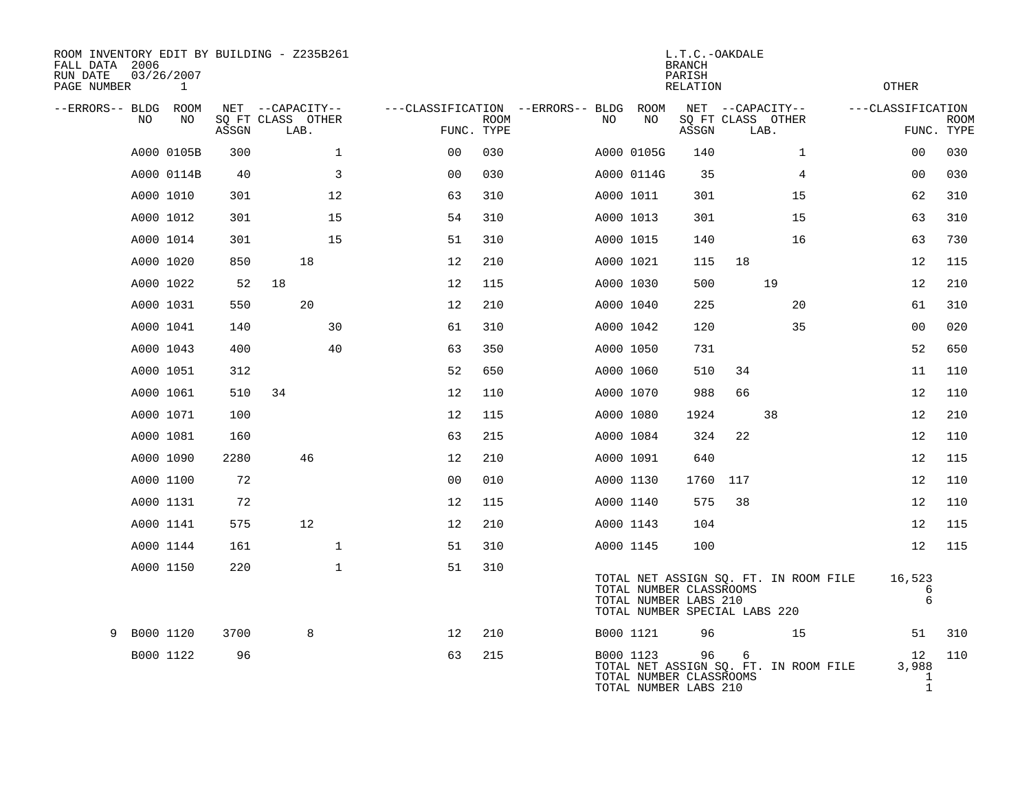| ROOM INVENTORY EDIT BY BUILDING - Z235B261<br>FALL DATA 2006<br>RUN DATE<br>PAGE NUMBER | 03/26/2007<br>1 |       |                           |              |                                   |             |    |            | L.T.C.-OAKDALE<br><b>BRANCH</b><br>PARISH<br>RELATION                             |     |                                       | <b>OTHER</b>                               |             |
|-----------------------------------------------------------------------------------------|-----------------|-------|---------------------------|--------------|-----------------------------------|-------------|----|------------|-----------------------------------------------------------------------------------|-----|---------------------------------------|--------------------------------------------|-------------|
| --ERRORS-- BLDG ROOM                                                                    |                 |       | NET --CAPACITY--          |              | ---CLASSIFICATION --ERRORS-- BLDG |             |    | ROOM       |                                                                                   |     | NET --CAPACITY--                      | ---CLASSIFICATION                          |             |
| NO                                                                                      | NO              | ASSGN | SQ FT CLASS OTHER<br>LAB. |              | FUNC. TYPE                        | <b>ROOM</b> | NO | NO         | ASSGN                                                                             |     | SQ FT CLASS OTHER<br>LAB.             | FUNC. TYPE                                 | <b>ROOM</b> |
|                                                                                         | A000 0105B      | 300   |                           | $\mathbf 1$  | 0 <sub>0</sub>                    | 030         |    | A000 0105G | 140                                                                               |     | $\mathbf{1}$                          | 00                                         | 030         |
|                                                                                         | A000 0114B      | 40    |                           | 3            | 0 <sub>0</sub>                    | 030         |    | A000 0114G | 35                                                                                |     | 4                                     | 0 <sub>0</sub>                             | 030         |
|                                                                                         | A000 1010       | 301   |                           | 12           | 63                                | 310         |    | A000 1011  | 301                                                                               |     | 15                                    | 62                                         | 310         |
|                                                                                         | A000 1012       | 301   |                           | 15           | 54                                | 310         |    | A000 1013  | 301                                                                               |     | 15                                    | 63                                         | 310         |
|                                                                                         | A000 1014       | 301   |                           | 15           | 51                                | 310         |    | A000 1015  | 140                                                                               |     | 16                                    | 63                                         | 730         |
|                                                                                         | A000 1020       | 850   | 18                        |              | 12                                | 210         |    | A000 1021  | 115                                                                               | 18  |                                       | 12                                         | 115         |
|                                                                                         | A000 1022       | 52    | 18                        |              | 12                                | 115         |    | A000 1030  | 500                                                                               |     | 19                                    | 12                                         | 210         |
|                                                                                         | A000 1031       | 550   | 20                        |              | 12                                | 210         |    | A000 1040  | 225                                                                               |     | 20                                    | 61                                         | 310         |
|                                                                                         | A000 1041       | 140   |                           | 30           | 61                                | 310         |    | A000 1042  | 120                                                                               |     | 35                                    | 00                                         | 020         |
|                                                                                         | A000 1043       | 400   |                           | 40           | 63                                | 350         |    | A000 1050  | 731                                                                               |     |                                       | 52                                         | 650         |
|                                                                                         | A000 1051       | 312   |                           |              | 52                                | 650         |    | A000 1060  | 510                                                                               | 34  |                                       | 11                                         | 110         |
|                                                                                         | A000 1061       | 510   | 34                        |              | 12                                | 110         |    | A000 1070  | 988                                                                               | 66  |                                       | 12                                         | 110         |
|                                                                                         | A000 1071       | 100   |                           |              | 12                                | 115         |    | A000 1080  | 1924                                                                              |     | 38                                    | 12                                         | 210         |
|                                                                                         | A000 1081       | 160   |                           |              | 63                                | 215         |    | A000 1084  | 324                                                                               | 22  |                                       | 12                                         | 110         |
|                                                                                         | A000 1090       | 2280  | 46                        |              | 12                                | 210         |    | A000 1091  | 640                                                                               |     |                                       | 12                                         | 115         |
|                                                                                         | A000 1100       | 72    |                           |              | 0 <sub>0</sub>                    | 010         |    | A000 1130  | 1760                                                                              | 117 |                                       | 12                                         | 110         |
|                                                                                         | A000 1131       | 72    |                           |              | 12                                | 115         |    | A000 1140  | 575                                                                               | 38  |                                       | 12                                         | 110         |
|                                                                                         | A000 1141       | 575   | 12                        |              | 12                                | 210         |    | A000 1143  | 104                                                                               |     |                                       | 12                                         | 115         |
|                                                                                         | A000 1144       | 161   |                           | $\mathbf{1}$ | 51                                | 310         |    | A000 1145  | 100                                                                               |     |                                       | 12                                         | 115         |
|                                                                                         | A000 1150       | 220   |                           | $\mathbf{1}$ | 51                                | 310         |    |            | TOTAL NUMBER CLASSROOMS<br>TOTAL NUMBER LABS 210<br>TOTAL NUMBER SPECIAL LABS 220 |     | TOTAL NET ASSIGN SQ. FT. IN ROOM FILE | 16,523<br>6<br>$\epsilon$                  |             |
| 9                                                                                       | B000 1120       | 3700  | 8                         |              | 12                                | 210         |    | B000 1121  | 96                                                                                |     | 15                                    | 51                                         | 310         |
|                                                                                         | B000 1122       | 96    |                           |              | 63                                | 215         |    | B000 1123  | 96<br>TOTAL NUMBER CLASSROOMS<br>TOTAL NUMBER LABS 210                            | 6   | TOTAL NET ASSIGN SQ. FT. IN ROOM FILE | 12<br>3,988<br>$\mathbf 1$<br>$\mathbf{1}$ | 110         |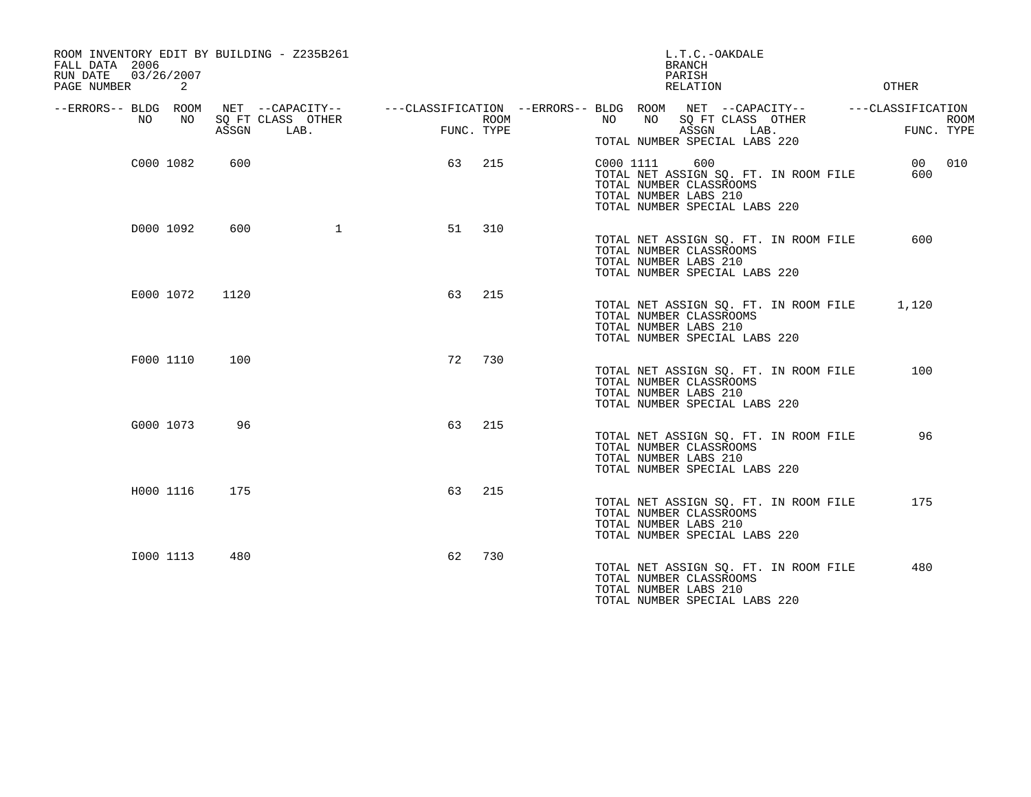| ROOM INVENTORY EDIT BY BUILDING - Z235B261<br>FALL DATA 2006<br>03/26/2007<br>RUN DATE<br>PAGE NUMBER<br>2 |       |                                               |                    | L.T.C.-OAKDALE<br><b>BRANCH</b><br>PARISH<br>RELATION                                                                                          | OTHER                                          |
|------------------------------------------------------------------------------------------------------------|-------|-----------------------------------------------|--------------------|------------------------------------------------------------------------------------------------------------------------------------------------|------------------------------------------------|
| --ERRORS-- BLDG ROOM<br>NO<br>NO                                                                           | ASSGN | NET --CAPACITY--<br>SQ FT CLASS OTHER<br>LAB. | ROOM<br>FUNC. TYPE | ---CLASSIFICATION --ERRORS-- BLDG ROOM NET --CAPACITY--<br>NO<br>NO<br>SQ FT CLASS OTHER<br>ASSGN<br>LAB.<br>TOTAL NUMBER SPECIAL LABS 220     | ---CLASSIFICATION<br><b>ROOM</b><br>FUNC. TYPE |
| C000 1082                                                                                                  | 600   |                                               | 63<br>215          | 600<br>C000 1111<br>TOTAL NET ASSIGN SQ. FT. IN ROOM FILE<br>TOTAL NUMBER CLASSROOMS<br>TOTAL NUMBER LABS 210<br>TOTAL NUMBER SPECIAL LABS 220 | 010<br>00<br>600                               |
| D000 1092                                                                                                  | 600   | $\mathbf 1$                                   | 310<br>51          | TOTAL NET ASSIGN SQ. FT. IN ROOM FILE<br>TOTAL NUMBER CLASSROOMS<br>TOTAL NUMBER LABS 210<br>TOTAL NUMBER SPECIAL LABS 220                     | 600                                            |
| E000 1072                                                                                                  | 1120  |                                               | 215<br>63          | TOTAL NET ASSIGN SQ. FT. IN ROOM FILE<br>TOTAL NUMBER CLASSROOMS<br>TOTAL NUMBER LABS 210<br>TOTAL NUMBER SPECIAL LABS 220                     | 1,120                                          |
| F000 1110                                                                                                  | 100   |                                               | 72<br>730          | TOTAL NET ASSIGN SQ. FT. IN ROOM FILE<br>TOTAL NUMBER CLASSROOMS<br>TOTAL NUMBER LABS 210<br>TOTAL NUMBER SPECIAL LABS 220                     | 100                                            |
| G000 1073                                                                                                  | 96    |                                               | 63<br>215          | TOTAL NET ASSIGN SO. FT. IN ROOM FILE<br>TOTAL NUMBER CLASSROOMS<br>TOTAL NUMBER LABS 210<br>TOTAL NUMBER SPECIAL LABS 220                     | 96                                             |
| H000 1116                                                                                                  | 175   |                                               | 215<br>63          | TOTAL NET ASSIGN SQ. FT. IN ROOM FILE<br>TOTAL NUMBER CLASSROOMS<br>TOTAL NUMBER LABS 210<br>TOTAL NUMBER SPECIAL LABS 220                     | 175                                            |
| I000 1113                                                                                                  | 480   |                                               | 730<br>62          | TOTAL NET ASSIGN SQ. FT. IN ROOM FILE<br>TOTAL NUMBER CLASSROOMS<br>TOTAL NUMBER LABS 210<br>TOTAL NUMBER SPECIAL LABS 220                     | 480                                            |